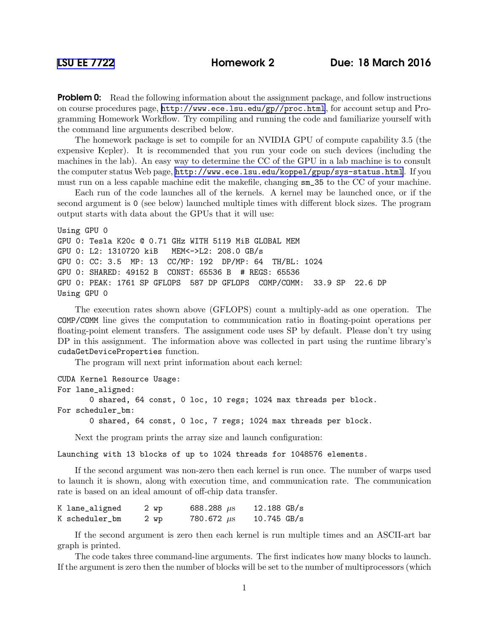**Problem 0:** Read the following information about the assignment package, and follow instructions on course procedures page, <http://www.ece.lsu.edu/gp//proc.html>, for account setup and Programming Homework Workflow. Try compiling and running the code and familiarize yourself with the command line arguments described below.

The homework package is set to compile for an NVIDIA GPU of compute capability 3.5 (the expensive Kepler). It is recommended that you run your code on such devices (including the machines in the lab). An easy way to determine the CC of the GPU in a lab machine is to consult the computer status Web page, <http://www.ece.lsu.edu/koppel/gpup/sys-status.html>. If you must run on a less capable machine edit the makefile, changing sm\_35 to the CC of your machine.

Each run of the code launches all of the kernels. A kernel may be launched once, or if the second argument is 0 (see below) launched multiple times with different block sizes. The program output starts with data about the GPUs that it will use:

```
Using GPU 0
GPU 0: Tesla K20c @ 0.71 GHz WITH 5119 MiB GLOBAL MEM
GPU 0: L2: 1310720 kiB MEM<->L2: 208.0 GB/s
GPU 0: CC: 3.5 MP: 13 CC/MP: 192 DP/MP: 64 TH/BL: 1024
GPU 0: SHARED: 49152 B CONST: 65536 B # REGS: 65536
GPU 0: PEAK: 1761 SP GFLOPS 587 DP GFLOPS COMP/COMM: 33.9 SP 22.6 DP
Using GPU 0
```
The execution rates shown above (GFLOPS) count a multiply-add as one operation. The COMP/COMM line gives the computation to communication ratio in floating-point operations per floating-point element transfers. The assignment code uses SP by default. Please don't try using DP in this assignment. The information above was collected in part using the runtime library's cudaGetDeviceProperties function.

The program will next print information about each kernel:

```
CUDA Kernel Resource Usage:
For lane_aligned:
       0 shared, 64 const, 0 loc, 10 regs; 1024 max threads per block.
For scheduler_bm:
       0 shared, 64 const, 0 loc, 7 regs; 1024 max threads per block.
```
Next the program prints the array size and launch configuration:

Launching with 13 blocks of up to 1024 threads for 1048576 elements.

If the second argument was non-zero then each kernel is run once. The number of warps used to launch it is shown, along with execution time, and communication rate. The communication rate is based on an ideal amount of off-chip data transfer.

| K lane_aligned | 2 wp | 688.288 $\mu$ s | $12.188$ GB/s |
|----------------|------|-----------------|---------------|
| K scheduler_bm | 2 wp | 780.672 $\mu$ s | $10.745$ GB/s |

If the second argument is zero then each kernel is run multiple times and an ASCII-art bar graph is printed.

The code takes three command-line arguments. The first indicates how many blocks to launch. If the argument is zero then the number of blocks will be set to the number of multiprocessors (which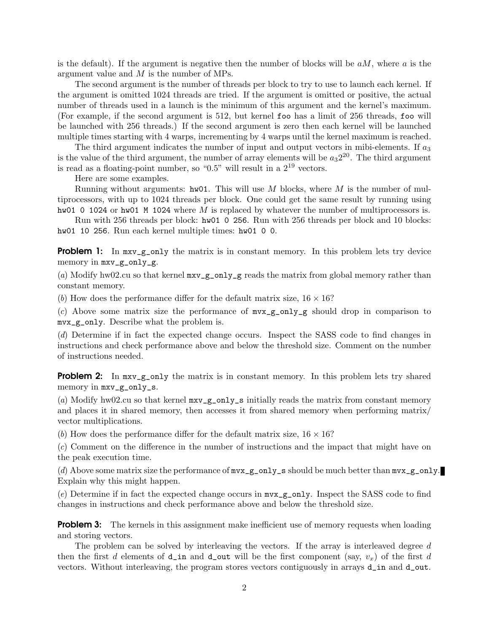is the default). If the argument is negative then the number of blocks will be  $aM$ , where a is the argument value and M is the number of MPs.

The second argument is the number of threads per block to try to use to launch each kernel. If the argument is omitted 1024 threads are tried. If the argument is omitted or positive, the actual number of threads used in a launch is the minimum of this argument and the kernel's maximum. (For example, if the second argument is 512, but kernel foo has a limit of 256 threads, foo will be launched with 256 threads.) If the second argument is zero then each kernel will be launched multiple times starting with 4 warps, incrementing by 4 warps until the kernel maximum is reached.

The third argument indicates the number of input and output vectors in mibi-elements. If  $a_3$ is the value of the third argument, the number of array elements will be  $a_3 2^{20}$ . The third argument is read as a floating-point number, so " $0.5$ " will result in a  $2^{19}$  vectors.

Here are some examples.

Running without arguments:  $hw01$ . This will use M blocks, where M is the number of multiprocessors, with up to 1024 threads per block. One could get the same result by running using hw01 0 1024 or hw01 M 1024 where  $M$  is replaced by whatever the number of multiprocessors is.

Run with 256 threads per block: hw01 0 256. Run with 256 threads per block and 10 blocks: hw01 10 256. Run each kernel multiple times: hw01 0 0.

**Problem 1:** In  $\text{mxv\_g\_only}$  the matrix is in constant memory. In this problem lets try device memory in mxv\_g\_only\_g.

(a) Modify hw02.cu so that kernel  $mxy_g$  only  $g$  reads the matrix from global memory rather than constant memory.

(b) How does the performance differ for the default matrix size,  $16 \times 16$ ?

(c) Above some matrix size the performance of  $m \times g_{\text{only}} g$  should drop in comparison to mvx\_g\_only. Describe what the problem is.

(d) Determine if in fact the expected change occurs. Inspect the SASS code to find changes in instructions and check performance above and below the threshold size. Comment on the number of instructions needed.

**Problem 2:** In  $\text{mxy-g-only}$  the matrix is in constant memory. In this problem lets try shared memory in mxv\_g\_only\_s.

(a) Modify hw02.cu so that kernel  $mx \text{g}$ -only-s initially reads the matrix from constant memory and places it in shared memory, then accesses it from shared memory when performing matrix/ vector multiplications.

(b) How does the performance differ for the default matrix size,  $16 \times 16$ ?

(c) Comment on the difference in the number of instructions and the impact that might have on the peak execution time.

(d) Above some matrix size the performance of mvx\_g\_only\_s should be much better than mvx\_g\_only. Explain why this might happen.

(e) Determine if in fact the expected change occurs in mvx\_g\_only. Inspect the SASS code to find changes in instructions and check performance above and below the threshold size.

**Problem 3:** The kernels in this assignment make inefficient use of memory requests when loading and storing vectors.

The problem can be solved by interleaving the vectors. If the array is interleaved degree d then the first d elements of  $d$  in and  $d$ -out will be the first component (say,  $v_x$ ) of the first d vectors. Without interleaving, the program stores vectors contiguously in arrays d\_in and d\_out.